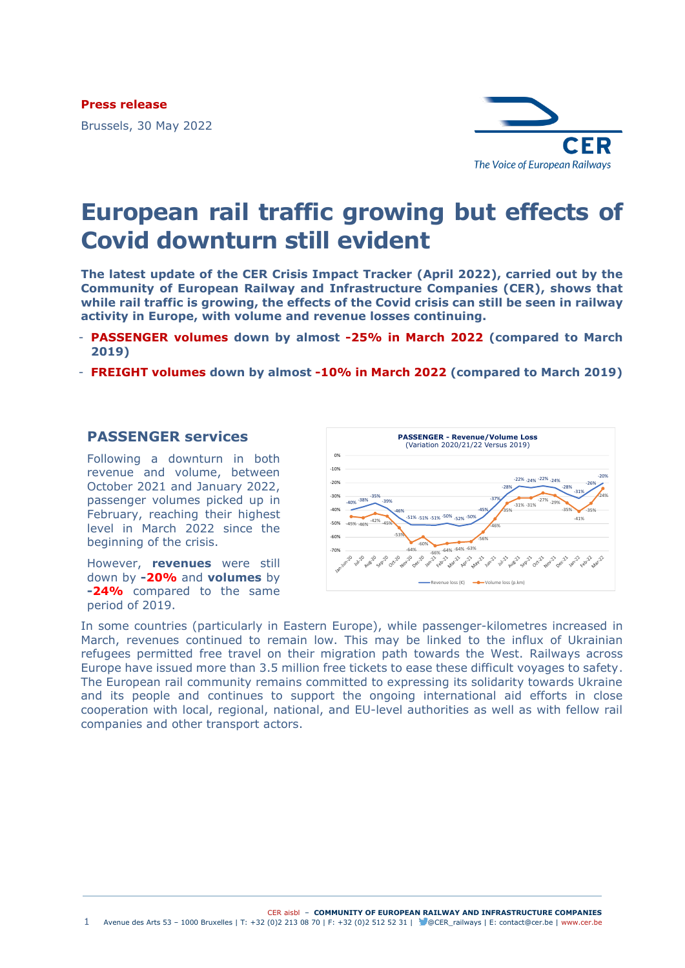**Press release**

Brussels, 30 May 2022



# **European rail traffic growing but effects of Covid downturn still evident**

**The latest update of the CER Crisis Impact Tracker (April 2022), carried out by the Community of European Railway and Infrastructure Companies (CER), shows that while rail traffic is growing, the effects of the Covid crisis can still be seen in railway activity in Europe, with volume and revenue losses continuing.** 

- **PASSENGER volumes down by almost -25% in March 2022 (compared to March 2019)**
- **FREIGHT volumes down by almost -10% in March 2022 (compared to March 2019)**

## **PASSENGER services**

Following a downturn in both revenue and volume, between October 2021 and January 2022, passenger volumes picked up in February, reaching their highest level in March 2022 since the beginning of the crisis.

However, **revenues** were still down by **-20%** and **volumes** by **-24%** compared to the same period of 2019.



In some countries (particularly in Eastern Europe), while passenger-kilometres increased in March, revenues continued to remain low. This may be linked to the influx of Ukrainian refugees permitted free travel on their migration path towards the West. Railways across Europe have issued more than 3.5 million free tickets to ease these difficult voyages to safety. The European rail community remains committed to expressing its solidarity towards Ukraine and its people and continues to support the ongoing international aid efforts in close cooperation with local, regional, national, and EU-level authorities as well as with fellow rail companies and other transport actors.